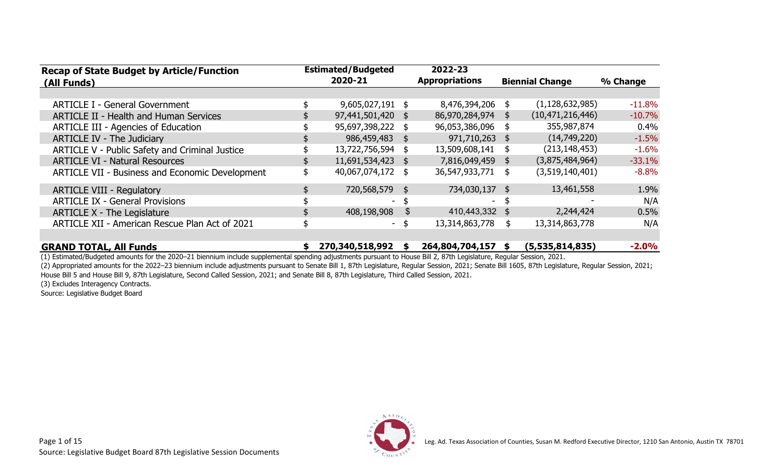| <b>Estimated/Budgeted</b><br>2022-23<br><b>Recap of State Budget by Article/Function</b> |         |                  |                |                       |            |                        |          |
|------------------------------------------------------------------------------------------|---------|------------------|----------------|-----------------------|------------|------------------------|----------|
| (All Funds)                                                                              | 2020-21 |                  |                | <b>Appropriations</b> |            | <b>Biennial Change</b> | % Change |
|                                                                                          |         |                  |                |                       |            |                        |          |
| <b>ARTICLE I - General Government</b>                                                    |         | 9,605,027,191 \$ |                | 8,476,394,206 \$      |            | (1, 128, 632, 985)     | $-11.8%$ |
| <b>ARTICLE II - Health and Human Services</b>                                            |         | 97,441,501,420   | \$             | 86,970,284,974 \$     |            | (10, 471, 216, 446)    | $-10.7%$ |
| <b>ARTICLE III - Agencies of Education</b>                                               |         | 95,697,398,222   | \$             | 96,053,386,096        |            | 355,987,874            | 0.4%     |
| <b>ARTICLE IV - The Judiciary</b>                                                        |         | 986,459,483      | $\mathfrak{S}$ | 971,710,263 \$        |            | (14,749,220)           | $-1.5%$  |
| ARTICLE V - Public Safety and Criminal Justice                                           |         | 13,722,756,594   | \$             | 13,509,608,141        | \$         | (213, 148, 453)        | $-1.6%$  |
| <b>ARTICLE VI - Natural Resources</b>                                                    |         | 11,691,534,423   | \$             | 7,816,049,459         | $\sqrt{5}$ | (3,875,484,964)        | $-33.1%$ |
| <b>ARTICLE VII - Business and Economic Development</b>                                   | \$      | 40,067,074,172   | \$             | 36,547,933,771        | \$         | (3,519,140,401)        | $-8.8%$  |
| <b>ARTICLE VIII - Regulatory</b>                                                         |         | 720,568,579      | \$             | 734,030,137           | -\$        | 13,461,558             | 1.9%     |
| <b>ARTICLE IX - General Provisions</b>                                                   |         |                  |                | ۰.                    |            |                        | N/A      |
| <b>ARTICLE X - The Legislature</b>                                                       |         | 408,198,908      | \$             | 410,443,332 \$        |            | 2,244,424              | 0.5%     |
| ARTICLE XII - American Rescue Plan Act of 2021                                           |         |                  | - \$           | 13,314,863,778        | \$         | 13,314,863,778         | N/A      |
| <b>GRAND TOTAL, All Funds</b>                                                            |         | 270,340,518,992  | \$             | 264,804,704,157       | \$         | (5,535,814,835)        | $-2.0%$  |

(1) Estimated/Budgeted amounts for the 2020–21 biennium include supplemental spending adjustments pursuant to House Bill 2, 87th Legislature, Regular Session, 2021. (2) Appropriated amounts for the 2022–23 biennium include adjustments pursuant to Senate Bill 1, 87th Legislature, Regular Session, 2021; Senate Bill 1605, 87th Legislature, Regular Session, 2021;

House Bill 5 and House Bill 9, 87th Legislature, Second Called Session, 2021; and Senate Bill 8, 87th Legislature, Third Called Session, 2021.

(3) Excludes Interagency Contracts.

Source: Legislative Budget Board

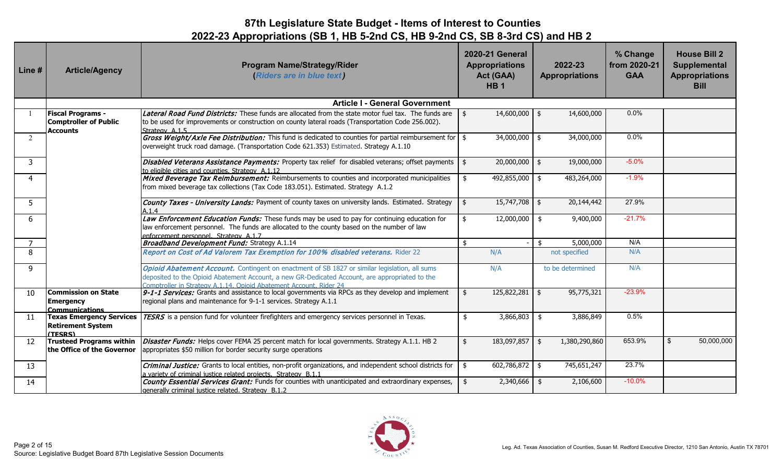| Line #                | <b>Article/Agency</b>                                                       | <b>Program Name/Strategy/Rider</b><br>(Riders are in blue text)                                                                                                                                                                                                       | <b>2020-21 General</b><br><b>Appropriations</b><br>Act (GAA)<br><b>HB1</b> | 2022-23<br><b>Appropriations</b> | % Change<br>from 2020-21<br><b>GAA</b> | <b>House Bill 2</b><br><b>Supplemental</b><br><b>Appropriations</b><br><b>Bill</b> |
|-----------------------|-----------------------------------------------------------------------------|-----------------------------------------------------------------------------------------------------------------------------------------------------------------------------------------------------------------------------------------------------------------------|----------------------------------------------------------------------------|----------------------------------|----------------------------------------|------------------------------------------------------------------------------------|
|                       |                                                                             | <b>Article I - General Government</b>                                                                                                                                                                                                                                 |                                                                            |                                  |                                        |                                                                                    |
|                       | <b>Fiscal Programs -</b><br><b>Comptroller of Public</b><br><b>Accounts</b> | Lateral Road Fund Districts: These funds are allocated from the state motor fuel tax. The funds are<br>to be used for improvements or construction on county lateral roads (Transportation Code 256.002).<br>Strategy A.1.5                                           | $14,600,000$ \$<br>\$                                                      | 14,600,000                       | 0.0%                                   |                                                                                    |
| 2                     |                                                                             | Gross Weight/Axle Fee Distribution: This fund is dedicated to counties for partial reimbursement for $\frac{1}{2}$<br>overweight truck road damage. (Transportation Code 621.353) Estimated. Strategy A.1.10                                                          | $34,000,000$ \$                                                            | 34,000,000                       | 0.0%                                   |                                                                                    |
| $\mathbf{3}$          |                                                                             | <b>Disabled Veterans Assistance Payments:</b> Property tax relief for disabled veterans; offset payments \ \ \$<br>to eligible cities and counties. Strategy A.1.12                                                                                                   | $20,000,000$ \$                                                            | 19,000,000                       | $-5.0%$                                |                                                                                    |
| $\boldsymbol{\Delta}$ |                                                                             | Mixed Beverage Tax Reimbursement: Reimbursements to counties and incorporated municipalities<br>from mixed beverage tax collections (Tax Code 183.051). Estimated. Strategy A.1.2                                                                                     | 492,855,000 \$<br>\$                                                       | 483,264,000                      | $-1.9%$                                |                                                                                    |
| 5                     |                                                                             | County Taxes - University Lands: Payment of county taxes on university lands. Estimated. Strategy<br>A.1.4                                                                                                                                                            | $15,747,708$ \$<br>\$                                                      | 20,144,442                       | 27.9%                                  |                                                                                    |
| 6                     |                                                                             | Law Enforcement Education Funds: These funds may be used to pay for continuing education for<br>law enforcement personnel. The funds are allocated to the county based on the number of law<br>enforcement personnel. Strategy A.1.7                                  | \$<br>12,000,000                                                           | 9,400,000<br>\$                  | $-21.7%$                               |                                                                                    |
|                       |                                                                             | Broadband Development Fund: Strategy A.1.14                                                                                                                                                                                                                           | \$                                                                         | 5,000,000<br>\$                  | N/A                                    |                                                                                    |
| 8                     |                                                                             | Report on Cost of Ad Valorem Tax Exemption for 100% disabled veterans. Rider 22                                                                                                                                                                                       | N/A                                                                        | not specified                    | N/A                                    |                                                                                    |
| 9                     |                                                                             | Opioid Abatement Account. Contingent on enactment of SB 1827 or similar legislation, all sums<br>deposited to the Opioid Abatement Account, a new GR-Dedicated Account, are appropriated to the<br>Comptroller in Strategy A.1.14. Opioid Abatement Account, Rider 24 | N/A                                                                        | to be determined                 | N/A                                    |                                                                                    |
| 10                    | <b>Commission on State</b><br><b>Emergency</b><br><b>Communications</b>     | 9-1-1 Services: Grants and assistance to local governments via RPCs as they develop and implement<br>regional plans and maintenance for 9-1-1 services. Strategy A.1.1                                                                                                | $\mathbf{\hat{S}}$<br>$125,822,281$ \$                                     | 95,775,321                       | $-23.9%$                               |                                                                                    |
| 11                    | <b>Texas Emergency Services</b><br><b>Retirement System</b><br>(TESRS)      | TESRS is a pension fund for volunteer firefighters and emergency services personnel in Texas.                                                                                                                                                                         | 3,866,803<br>\$                                                            | 3,886,849<br>\$                  | 0.5%                                   |                                                                                    |
| 12                    | <b>Trusteed Programs within</b><br>the Office of the Governor               | Disaster Funds: Helps cover FEMA 25 percent match for local governments. Strategy A.1.1. HB 2<br>appropriates \$50 million for border security surge operations                                                                                                       | 183,097,857 \$<br>$\frac{1}{2}$                                            | 1,380,290,860                    | 653.9%                                 | 50,000,000<br>\$                                                                   |
| 13                    |                                                                             | Criminal Justice: Grants to local entities, non-profit organizations, and independent school districts for<br>a variety of criminal justice related projects. Strategy B.1.1                                                                                          | $602,786,872$ \$<br>\$                                                     | 745,651,247                      | 23.7%                                  |                                                                                    |
| 14                    |                                                                             | County Essential Services Grant: Funds for counties with unanticipated and extraordinary expenses,<br>generally criminal justice related. Strategy B.1.2                                                                                                              | $2,340,666$ \$                                                             | 2,106,600                        | $-10.0%$                               |                                                                                    |

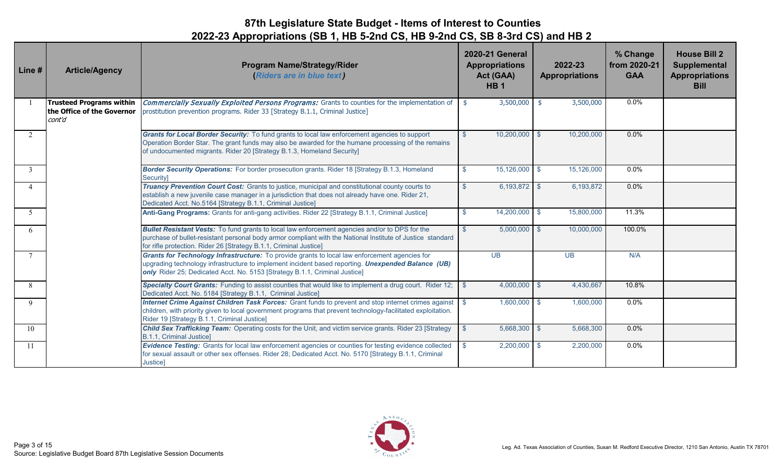| Line # | <b>Article/Agency</b>                                                   | <b>Program Name/Strategy/Rider</b><br>(Riders are in blue text)                                                                                                                                                                                                                          |               | <b>2020-21 General</b><br><b>Appropriations</b><br>Act (GAA)<br><b>HB1</b> | 2022-23<br><b>Appropriations</b> | % Change<br>from 2020-21<br><b>GAA</b> | <b>House Bill 2</b><br>Supplemental<br><b>Appropriations</b><br><b>Bill</b> |
|--------|-------------------------------------------------------------------------|------------------------------------------------------------------------------------------------------------------------------------------------------------------------------------------------------------------------------------------------------------------------------------------|---------------|----------------------------------------------------------------------------|----------------------------------|----------------------------------------|-----------------------------------------------------------------------------|
|        | <b>Trusteed Programs within</b><br>the Office of the Governor<br>cont'd | Commercially Sexually Exploited Persons Programs: Grants to counties for the implementation of<br>prostitution prevention programs. Rider 33 [Strategy B.1.1, Criminal Justice]                                                                                                          | \$            | 3,500,000                                                                  | 3,500,000<br>-\$                 | $0.0\%$                                |                                                                             |
| 2      |                                                                         | Grants for Local Border Security: To fund grants to local law enforcement agencies to support<br>Operation Border Star. The grant funds may also be awarded for the humane processing of the remains<br>of undocumented migrants. Rider 20 [Strategy B.1.3, Homeland Security]           | $\mathcal{S}$ | $10,200,000$ \$                                                            | 10,200,000                       | 0.0%                                   |                                                                             |
| 3      |                                                                         | Border Security Operations: For border prosecution grants. Rider 18 [Strategy B.1.3, Homeland<br>Security]                                                                                                                                                                               | $\mathbb{S}$  | $15,126,000$ \$                                                            | 15,126,000                       | $0.0\%$                                |                                                                             |
|        |                                                                         | Truancy Prevention Court Cost: Grants to justice, municipal and constitutional county courts to<br>establish a new juvenile case manager in a jurisdiction that does not already have one. Rider 21,<br>Dedicated Acct. No.5164 [Strategy B.1.1, Criminal Justice]                       | $\mathbb{S}$  | $6,193,872$ \$                                                             | 6,193,872                        | 0.0%                                   |                                                                             |
| 5      |                                                                         | Anti-Gang Programs: Grants for anti-gang activities. Rider 22 [Strategy B.1.1, Criminal Justice]                                                                                                                                                                                         | $\mathbb{S}$  | 14,200,000 \$                                                              | 15,800,000                       | 11.3%                                  |                                                                             |
| 6      |                                                                         | <b>Bullet Resistant Vests:</b> To fund grants to local law enforcement agencies and/or to DPS for the<br>purchase of bullet-resistant personal body armor compliant with the National Institute of Justice standard<br>for rifle protection. Rider 26 [Strategy B.1.1, Criminal Justice] | $\mathcal{S}$ | $5,000,000$ \$                                                             | 10,000,000                       | 100.0%                                 |                                                                             |
| $\tau$ |                                                                         | Grants for Technology Infrastructure: To provide grants to local law enforcement agencies for<br>upgrading technology infrastructure to implement incident based reporting. Unexpended Balance (UB)<br>only Rider 25; Dedicated Acct. No. 5153 [Strategy B.1.1, Criminal Justice]        |               | <b>UB</b>                                                                  | <b>UB</b>                        | N/A                                    |                                                                             |
| 8      |                                                                         | Specialty Court Grants: Funding to assist counties that would like to implement a drug court. Rider 12;<br>Dedicated Acct. No. 5184 [Strategy B.1.1, Criminal Justice]                                                                                                                   | $\mathbb{S}$  | $4,000,000$ \$                                                             | 4,430,667                        | 10.8%                                  |                                                                             |
| 9      |                                                                         | Internet Crime Against Children Task Forces: Grant funds to prevent and stop internet crimes against<br>children, with priority given to local government programs that prevent technology-facilitated exploitation.<br>Rider 19 [Strategy B.1.1, Criminal Justice]                      |               | $1,600,000$ \$                                                             | 1,600,000                        | $0.0\%$                                |                                                                             |
| 10     |                                                                         | <b>Child Sex Trafficking Team:</b> Operating costs for the Unit, and victim service grants. Rider 23 [Strategy<br>B.1.1, Criminal Justice]                                                                                                                                               |               | 5,668,300 \$                                                               | 5,668,300                        | $0.0\%$                                |                                                                             |
| -11    |                                                                         | Evidence Testing: Grants for local law enforcement agencies or counties for testing evidence collected<br>for sexual assault or other sex offenses. Rider 28; Dedicated Acct. No. 5170 [Strategy B.1.1, Criminal<br>Justice]                                                             | -\$           | $2,200,000$ \$                                                             | 2,200,000                        | $0.0\%$                                |                                                                             |

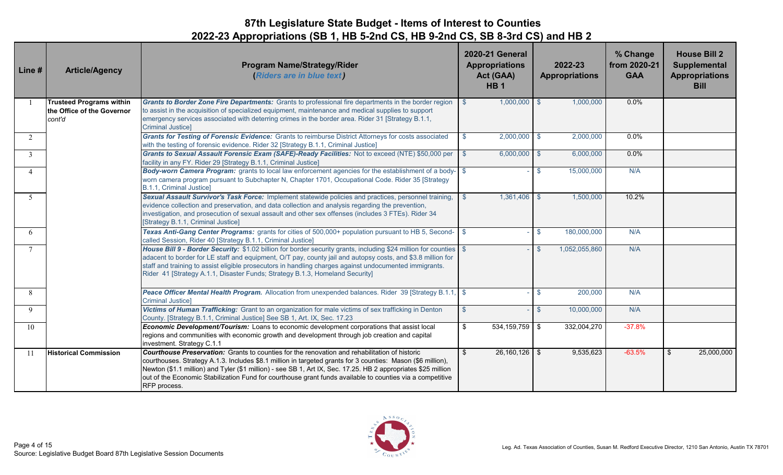| Line #         | <b>Article/Agency</b>                                                   | <b>Program Name/Strategy/Rider</b><br>(Riders are in blue text)                                                                                                                                                                                                                                                                                                                                                                                                   | <b>2020-21 General</b><br><b>Appropriations</b><br>Act (GAA)<br><b>HB1</b> | 2022-23<br><b>Appropriations</b> | % Change<br>from 2020-21<br><b>GAA</b> | <b>House Bill 2</b><br><b>Supplemental</b><br><b>Appropriations</b><br><b>Bill</b> |
|----------------|-------------------------------------------------------------------------|-------------------------------------------------------------------------------------------------------------------------------------------------------------------------------------------------------------------------------------------------------------------------------------------------------------------------------------------------------------------------------------------------------------------------------------------------------------------|----------------------------------------------------------------------------|----------------------------------|----------------------------------------|------------------------------------------------------------------------------------|
|                | <b>Trusteed Programs within</b><br>the Office of the Governor<br>cont'd | Grants to Border Zone Fire Departments: Grants to professional fire departments in the border region<br>to assist in the acquisition of specialized equipment, maintenance and medical supplies to support<br>emergency services associated with deterring crimes in the border area. Rider 31 [Strategy B.1.1,<br><b>Criminal Justice]</b>                                                                                                                       | $1,000,000$ \$<br>\$                                                       | 1,000,000                        | $0.0\%$                                |                                                                                    |
| $\overline{2}$ |                                                                         | Grants for Testing of Forensic Evidence: Grants to reimburse District Attorneys for costs associated<br>with the testing of forensic evidence. Rider 32 [Strategy B.1.1, Criminal Justice]                                                                                                                                                                                                                                                                        | $2,000,000$ \$<br>$\mathbf{\$}$                                            | 2,000,000                        | 0.0%                                   |                                                                                    |
| 3              |                                                                         | Grants to Sexual Assault Forensic Exam (SAFE)-Ready Facilities: Not to exceed (NTE) \$50,000 per<br>facility in any FY. Rider 29 [Strategy B.1.1, Criminal Justice]                                                                                                                                                                                                                                                                                               | $6,000,000$ \$<br>$\mathbf{\$}$                                            | 6,000,000                        | 0.0%                                   |                                                                                    |
| $\overline{4}$ |                                                                         | Body-worn Camera Program: grants to local law enforcement agencies for the establishment of a body-<br>worn camera program pursuant to Subchapter N, Chapter 1701, Occupational Code. Rider 35 [Strategy<br>B.1.1, Criminal Justice]                                                                                                                                                                                                                              |                                                                            | 15,000,000<br>-S                 | N/A                                    |                                                                                    |
| 5              |                                                                         | Sexual Assault Survivor's Task Force: Implement statewide policies and practices, personnel training,<br>evidence collection and preservation, and data collection and analysis regarding the prevention,<br>investigation, and prosecution of sexual assault and other sex offenses (includes 3 FTEs). Rider 34<br>[Strategy B.1.1, Criminal Justice]                                                                                                            | 1,361,406 \$<br>$\mathbf{\$}$                                              | 1,500,000                        | 10.2%                                  |                                                                                    |
| 6              |                                                                         | Texas Anti-Gang Center Programs: grants for cities of 500,000+ population pursuant to HB 5, Second- \$<br>called Session, Rider 40 [Strategy B.1.1, Criminal Justice]                                                                                                                                                                                                                                                                                             |                                                                            | 180,000,000<br>-S                | N/A                                    |                                                                                    |
|                |                                                                         | House Bill 9 - Border Security: \$1.02 billion for border security grants, including \$24 million for counties \$<br>adacent to border for LE staff and equipment, O/T pay, county jail and autopsy costs, and \$3.8 million for<br>staff and training to assist eligible prosecutors in handling charges against undocumented immigrants.<br>Rider 41 [Strategy A.1.1, Disaster Funds; Strategy B.1.3, Homeland Security]                                        |                                                                            | 1,052,055,860                    | N/A                                    |                                                                                    |
| 8              |                                                                         | Peace Officer Mental Health Program. Allocation from unexpended balances. Rider 39 [Strategy B.1.1, \$<br><b>Criminal Justice]</b>                                                                                                                                                                                                                                                                                                                                |                                                                            | 200,000<br>-S                    | N/A                                    |                                                                                    |
| 9              |                                                                         | Victims of Human Trafficking: Grant to an organization for male victims of sex trafficking in Denton<br>County. [Strategy B.1.1, Criminal Justice] See SB 1, Art. IX, Sec. 17.23                                                                                                                                                                                                                                                                                  | $\mathcal{S}$                                                              | $\mathcal{S}$<br>10,000,000      | N/A                                    |                                                                                    |
| 10             |                                                                         | Economic Development/Tourism: Loans to economic development corporations that assist local<br>regions and communities with economic growth and development through job creation and capital<br>investment. Strategy C.1.1                                                                                                                                                                                                                                         | \$<br>$534, 159, 759$ \$                                                   | 332,004,270                      | $-37.8%$                               |                                                                                    |
| 11             | <b>Historical Commission</b>                                            | <b>Courthouse Preservation:</b> Grants to counties for the renovation and rehabilitation of historic<br>courthouses. Strategy A.1.3. Includes \$8.1 million in targeted grants for 3 counties: Mason (\$6 million),<br>Newton (\$1.1 million) and Tyler (\$1 million) - see SB 1, Art IX, Sec. 17.25. HB 2 appropriates \$25 million<br>out of the Economic Stabilization Fund for courthouse grant funds available to counties via a competitive<br>RFP process. | \$<br>$26,160,126$ \$                                                      | 9,535,623                        | $-63.5%$                               | 25,000,000<br>\$                                                                   |

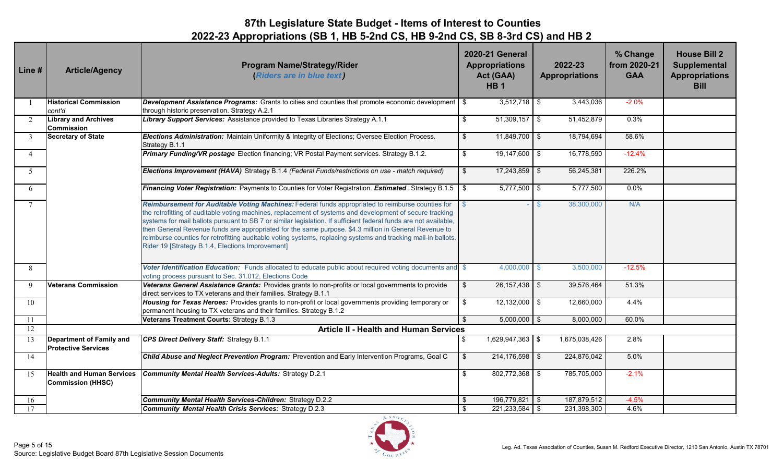| Line #         | <b>Article/Agency</b>                                        | <b>Program Name/Strategy/Rider</b><br>(Riders are in blue text)                                                                                                                                                                                                                                                                                                                                                                                                                                                                                                                                                 |      | <b>2020-21 General</b><br><b>Appropriations</b><br>Act (GAA)<br><b>HB1</b> |              | 2022-23<br><b>Appropriations</b> | % Change<br>from 2020-21<br><b>GAA</b> | <b>House Bill 2</b><br>Supplemental<br><b>Appropriations</b><br><b>Bill</b> |
|----------------|--------------------------------------------------------------|-----------------------------------------------------------------------------------------------------------------------------------------------------------------------------------------------------------------------------------------------------------------------------------------------------------------------------------------------------------------------------------------------------------------------------------------------------------------------------------------------------------------------------------------------------------------------------------------------------------------|------|----------------------------------------------------------------------------|--------------|----------------------------------|----------------------------------------|-----------------------------------------------------------------------------|
|                | <b>Historical Commission</b><br>cont'd                       | Development Assistance Programs: Grants to cities and counties that promote economic development<br>through historic preservation. Strategy A.2.1                                                                                                                                                                                                                                                                                                                                                                                                                                                               | - \$ | $3,512,718$ \$                                                             |              | 3,443,036                        | $-2.0%$                                |                                                                             |
| $\overline{2}$ | <b>Library and Archives</b><br><b>Commission</b>             | Library Support Services: Assistance provided to Texas Libraries Strategy A.1.1                                                                                                                                                                                                                                                                                                                                                                                                                                                                                                                                 | \$   | $51,309,157$ \$                                                            |              | 51,452,879                       | 0.3%                                   |                                                                             |
| $\mathfrak{Z}$ | <b>Secretary of State</b>                                    | Elections Administration: Maintain Uniformity & Integrity of Elections; Oversee Election Process.<br>Strategy B.1.1                                                                                                                                                                                                                                                                                                                                                                                                                                                                                             | \$   | $11,849,700$ \$                                                            |              | 18,794,694                       | 58.6%                                  |                                                                             |
| $\overline{4}$ |                                                              | Primary Funding/VR postage Election financing; VR Postal Payment services. Strategy B.1.2.                                                                                                                                                                                                                                                                                                                                                                                                                                                                                                                      | \$   | $19,147,600$ \$                                                            |              | 16,778,590                       | $-12.4%$                               |                                                                             |
| 5 <sup>5</sup> |                                                              | Elections Improvement (HAVA) Strategy B.1.4 (Federal Funds/restrictions on use - match required)                                                                                                                                                                                                                                                                                                                                                                                                                                                                                                                | \$   | $17,243,859$ \$                                                            |              | 56,245,381                       | 226.2%                                 |                                                                             |
| 6              |                                                              | <b>Financing Voter Registration:</b> Payments to Counties for Voter Registration. <b>Estimated</b> . Strategy B.1.5 \ \$                                                                                                                                                                                                                                                                                                                                                                                                                                                                                        |      | $5,777,500$ \$                                                             |              | 5,777,500                        | 0.0%                                   |                                                                             |
| $\tau$         |                                                              | Reimbursement for Auditable Voting Machines: Federal funds appropriated to reimburse counties for<br>the retrofitting of auditable voting machines, replacement of systems and development of secure tracking<br>systems for mail ballots pursuant to SB 7 or similar legislation. If sufficient federal funds are not available,<br>then General Revenue funds are appropriated for the same purpose. \$4.3 million in General Revenue to<br>reimburse counties for retrofitting auditable voting systems, replacing systems and tracking mail-in ballots.<br>Rider 19 [Strategy B.1.4, Elections Improvement] |      |                                                                            | $\mathbb{S}$ | 38,300,000                       | N/A                                    |                                                                             |
| 8              |                                                              | Voter Identification Education: Funds allocated to educate public about required voting documents and \$<br>voting process pursuant to Sec. 31.012, Elections Code                                                                                                                                                                                                                                                                                                                                                                                                                                              |      | $4,000,000$ \$                                                             |              | 3,500,000                        | $-12.5%$                               |                                                                             |
| 9              | <b>Veterans Commission</b>                                   | Veterans General Assistance Grants: Provides grants to non-profits or local governments to provide<br>direct services to TX veterans and their families. Strategy B.1.1                                                                                                                                                                                                                                                                                                                                                                                                                                         | \$   | $26,157,438$ \$                                                            |              | 39,576,464                       | 51.3%                                  |                                                                             |
| 10             |                                                              | Housing for Texas Heroes: Provides grants to non-profit or local governments providing temporary or<br>permanent housing to TX veterans and their families. Strategy B.1.2                                                                                                                                                                                                                                                                                                                                                                                                                                      | \$   | $12,132,000$ \$                                                            |              | 12,660,000                       | 4.4%                                   |                                                                             |
| 11             |                                                              | Veterans Treatment Courts: Strategy B.1.3                                                                                                                                                                                                                                                                                                                                                                                                                                                                                                                                                                       |      | $5,000,000$ \$                                                             |              | 8,000,000                        | 60.0%                                  |                                                                             |
| 12             |                                                              | <b>Article II - Health and Human Services</b>                                                                                                                                                                                                                                                                                                                                                                                                                                                                                                                                                                   |      |                                                                            |              |                                  |                                        |                                                                             |
| 13             | Department of Family and<br><b>Protective Services</b>       | CPS Direct Delivery Staff: Strategy B.1.1                                                                                                                                                                                                                                                                                                                                                                                                                                                                                                                                                                       | \$   | 1,629,947,363 \$                                                           |              | 1,675,038,426                    | 2.8%                                   |                                                                             |
| 14             |                                                              | Child Abuse and Neglect Prevention Program: Prevention and Early Intervention Programs, Goal C                                                                                                                                                                                                                                                                                                                                                                                                                                                                                                                  | \$   | $214, 176, 598$ \$                                                         |              | 224,876,042                      | 5.0%                                   |                                                                             |
| 15             | <b>Health and Human Services</b><br><b>Commission (HHSC)</b> | <b>Community Mental Health Services-Adults: Strategy D.2.1</b>                                                                                                                                                                                                                                                                                                                                                                                                                                                                                                                                                  | \$   | $802,772,368$ \$                                                           |              | 785,705,000                      | $-2.1%$                                |                                                                             |
| 16             |                                                              | Community Mental Health Services-Children: Strategy D.2.2                                                                                                                                                                                                                                                                                                                                                                                                                                                                                                                                                       | \$   | 196,779,821 \$                                                             |              | 187,879,512                      | $-4.5%$                                |                                                                             |
| 17             |                                                              | <b>Community Mental Health Crisis Services: Strategy D.2.3</b>                                                                                                                                                                                                                                                                                                                                                                                                                                                                                                                                                  | \$   | $221,233,584$ \$                                                           |              | 231,398,300                      | 4.6%                                   |                                                                             |

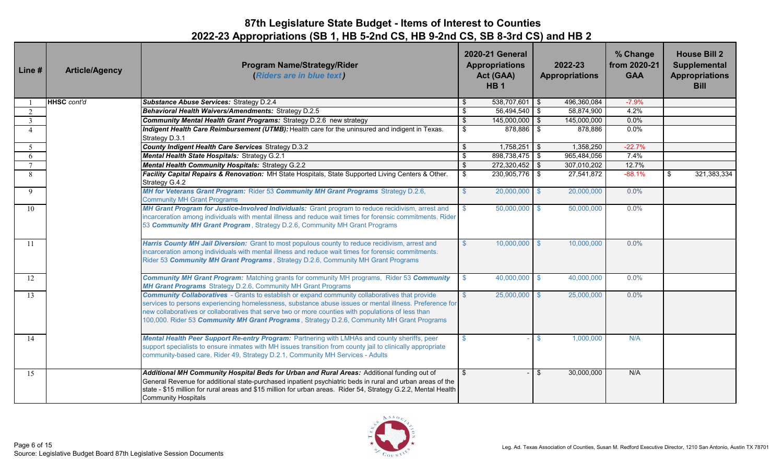| Line#          | <b>Article/Agency</b> | <b>Program Name/Strategy/Rider</b><br>(Riders are in blue text)                                                                                                                                                                                                                                                                                                                                                      |                         | <b>2020-21 General</b><br><b>Appropriations</b><br>Act (GAA)<br>HB <sub>1</sub> | 2022-23<br><b>Appropriations</b> | % Change<br>from 2020-21<br><b>GAA</b> | <b>House Bill 2</b><br>Supplemental<br><b>Appropriations</b><br><b>Bill</b> |
|----------------|-----------------------|----------------------------------------------------------------------------------------------------------------------------------------------------------------------------------------------------------------------------------------------------------------------------------------------------------------------------------------------------------------------------------------------------------------------|-------------------------|---------------------------------------------------------------------------------|----------------------------------|----------------------------------------|-----------------------------------------------------------------------------|
|                | <b>HHSC</b> cont'd    | <b>Substance Abuse Services: Strategy D.2.4</b>                                                                                                                                                                                                                                                                                                                                                                      | - \$                    | $538,707,601$ \$                                                                | 496,360,084                      | $-7.9%$                                |                                                                             |
| 2              |                       | Behavioral Health Waivers/Amendments: Strategy D.2.5                                                                                                                                                                                                                                                                                                                                                                 | \$                      | 56,494,540 \$                                                                   | 58,874,900                       | 4.2%                                   |                                                                             |
| $\overline{3}$ |                       | <b>Community Mental Health Grant Programs: Strategy D.2.6 new strategy</b>                                                                                                                                                                                                                                                                                                                                           | $\overline{\mathbf{S}}$ | $145,000,000$ \$                                                                | 145,000,000                      | 0.0%                                   |                                                                             |
|                |                       | Indigent Health Care Reimbursement (UTMB): Health care for the uninsured and indigent in Texas.<br>Strategy D.3.1                                                                                                                                                                                                                                                                                                    | \$                      | 878,886 \$                                                                      | 878,886                          | 0.0%                                   |                                                                             |
| 5              |                       | County Indigent Health Care Services Strategy D.3.2                                                                                                                                                                                                                                                                                                                                                                  | $\frac{1}{2}$           | 1,758,251                                                                       | $\sqrt{3}$<br>1,358,250          | $-22.7%$                               |                                                                             |
| 6              |                       | Mental Health State Hospitals: Strategy G.2.1                                                                                                                                                                                                                                                                                                                                                                        | \$                      | 898,738,475 \$                                                                  | 965,484,056                      | 7.4%                                   |                                                                             |
|                |                       | <b>Mental Health Community Hospitals: Strategy G.2.2</b>                                                                                                                                                                                                                                                                                                                                                             | $\overline{\mathbf{3}}$ | 272,320,452 \$                                                                  | 307,010,202                      | 12.7%                                  |                                                                             |
| 8              |                       | Facility Capital Repairs & Renovation: MH State Hospitals, State Supported Living Centers & Other.<br>Strategy G.4.2                                                                                                                                                                                                                                                                                                 | $$\mathbb{S}$$          | 230,905,776 \$                                                                  | 27,541,872                       | $-88.1%$                               | 321,383,334<br>\$                                                           |
| $\mathbf Q$    |                       | MH for Veterans Grant Program: Rider 53 Community MH Grant Programs Strategy D.2.6,<br><b>Community MH Grant Programs</b>                                                                                                                                                                                                                                                                                            | $\mathbb{S}$            | $20,000,000$ \$                                                                 | 20,000,000                       | 0.0%                                   |                                                                             |
| 10             |                       | MH Grant Program for Justice-Involved Individuals: Grant program to reduce recidivism, arrest and<br>incarceration among individuals with mental illness and reduce wait times for forensic commitments. Rider<br>53 Community MH Grant Program, Strategy D.2.6, Community MH Grant Programs                                                                                                                         | -S                      | $50,000,000$ \$                                                                 | 50,000,000                       | 0.0%                                   |                                                                             |
| 11             |                       | Harris County MH Jail Diversion: Grant to most populous county to reduce recidivism, arrest and<br>incarceration among individuals with mental illness and reduce wait times for forensic commitments.<br>Rider 53 Community MH Grant Programs, Strategy D.2.6, Community MH Grant Programs                                                                                                                          | $\mathbb{S}$            | $10,000,000$ \$                                                                 | 10,000,000                       | 0.0%                                   |                                                                             |
| 12             |                       | <b>Community MH Grant Program:</b> Matching grants for community MH programs, Rider 53 Community<br>MH Grant Programs Strategy D.2.6, Community MH Grant Programs                                                                                                                                                                                                                                                    | -S                      | $40,000,000$ \$                                                                 | 40,000,000                       | 0.0%                                   |                                                                             |
| 13             |                       | <b>Community Collaboratives</b> - Grants to establish or expand community collaboratives that provide<br>services to persons experiencing homelessness, substance abuse issues or mental illness. Preference for<br>new collaboratives or collaboratives that serve two or more counties with populations of less than<br>100,000. Rider 53 Community MH Grant Programs, Strategy D.2.6, Community MH Grant Programs |                         | $25,000,000$ \$                                                                 | 25,000,000                       | 0.0%                                   |                                                                             |
| 14             |                       | Mental Health Peer Support Re-entry Program: Partnering with LMHAs and county sheriffs, peer<br>support specialists to ensure inmates with MH issues transition from county jail to clinically appropriate<br>community-based care. Rider 49, Strategy D.2.1, Community MH Services - Adults                                                                                                                         |                         |                                                                                 | 1,000,000<br>\$.                 | N/A                                    |                                                                             |
| 15             |                       | Additional MH Community Hospital Beds for Urban and Rural Areas: Additional funding out of<br>General Revenue for additional state-purchased inpatient psychiatric beds in rural and urban areas of the<br>state - \$15 million for rural areas and \$15 million for urban areas. Rider 54, Strategy G.2.2, Mental Health<br><b>Community Hospitals</b>                                                              | \$                      |                                                                                 | \$<br>30,000,000                 | N/A                                    |                                                                             |

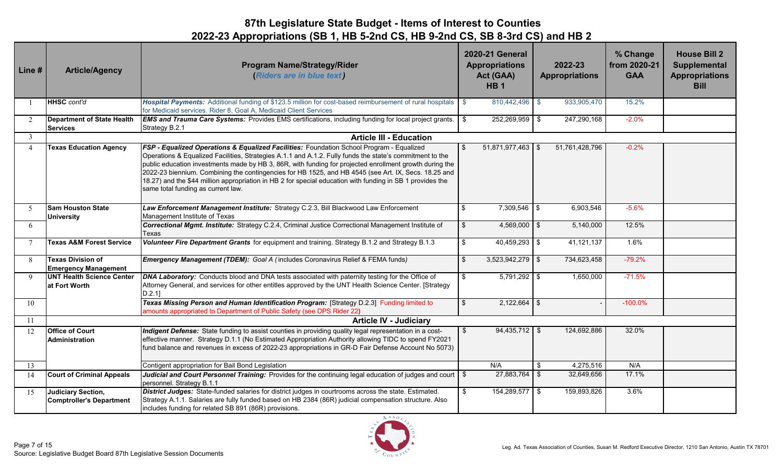| Line #         | <b>Article/Agency</b>                                   | <b>Program Name/Strategy/Rider</b><br>(Riders are in blue text)                                                                                                                                                                                                                                                                                                                                                                                                                                                                                                            | <b>2020-21 General</b><br><b>Appropriations</b><br>Act (GAA)<br>HB <sub>1</sub> | 2022-23<br><b>Appropriations</b> | % Change<br>from 2020-21<br><b>GAA</b> | <b>House Bill 2</b><br><b>Supplemental</b><br><b>Appropriations</b><br><b>Bill</b> |
|----------------|---------------------------------------------------------|----------------------------------------------------------------------------------------------------------------------------------------------------------------------------------------------------------------------------------------------------------------------------------------------------------------------------------------------------------------------------------------------------------------------------------------------------------------------------------------------------------------------------------------------------------------------------|---------------------------------------------------------------------------------|----------------------------------|----------------------------------------|------------------------------------------------------------------------------------|
|                | HHSC cont'd                                             | Hospital Payments: Additional funding of \$123.5 million for cost-based reimbursement of rural hospitals \$<br>for Medicaid services. Rider 8, Goal A, Medicaid Client Services                                                                                                                                                                                                                                                                                                                                                                                            | 810,442,496 \$                                                                  | 933,905,470                      | 15.2%                                  |                                                                                    |
| 2              | <b>Department of State Health</b><br><b>Services</b>    | <b>EMS and Trauma Care Systems:</b> Provides EMS certifications, including funding for local project grants.<br>Strategy B.2.1                                                                                                                                                                                                                                                                                                                                                                                                                                             | 252,269,959 \$<br>- \$                                                          | 247,290,168                      | $-2.0%$                                |                                                                                    |
| 3              |                                                         | <b>Article III - Education</b>                                                                                                                                                                                                                                                                                                                                                                                                                                                                                                                                             |                                                                                 |                                  |                                        |                                                                                    |
| $\overline{4}$ | <b>Texas Education Agency</b>                           | FSP - Equalized Operations & Equalized Facilities: Foundation School Program - Equalized<br>Operations & Equalized Facilities, Strategies A.1.1 and A.1.2. Fully funds the state's commitment to the<br>public education investments made by HB 3, 86R, with funding for projected enrollment growth during the<br>2022-23 biennium. Combining the contingencies for HB 1525, and HB 4545 (see Art. IX, Secs. 18.25 and<br>18.27) and the \$44 million appropriation in HB 2 for special education with funding in SB 1 provides the<br>same total funding as current law. | $51,871,977,463$ \$<br>$\mathbf{\hat{s}}$                                       | 51,761,428,796                   | $-0.2%$                                |                                                                                    |
| -5             | <b>Sam Houston State</b><br><b>University</b>           | Law Enforcement Management Institute: Strategy C.2.3, Bill Blackwood Law Enforcement<br>Management Institute of Texas                                                                                                                                                                                                                                                                                                                                                                                                                                                      | \$<br>$7,309,546$ \$                                                            | 6,903,546                        | $-5.6%$                                |                                                                                    |
| 6              |                                                         | Correctional Mgmt. Institute: Strategy C.2.4, Criminal Justice Correctional Management Institute of<br>Texas                                                                                                                                                                                                                                                                                                                                                                                                                                                               | $\sqrt{3}$<br>$4,569,000$ \$                                                    | 5,140,000                        | 12.5%                                  |                                                                                    |
|                | <b>Texas A&amp;M Forest Service</b>                     | Volunteer Fire Department Grants for equipment and training. Strategy B.1.2 and Strategy B.1.3                                                                                                                                                                                                                                                                                                                                                                                                                                                                             | $\sqrt{3}$<br>$40,459,293$ \$                                                   | 41,121,137                       | 1.6%                                   |                                                                                    |
| 8              | <b>Texas Division of</b><br><b>Emergency Management</b> | Emergency Management (TDEM): Goal A (includes Coronavirus Relief & FEMA funds)                                                                                                                                                                                                                                                                                                                                                                                                                                                                                             | \$<br>$3,523,942,279$ \$                                                        | 734,623,458                      | $-79.2%$                               |                                                                                    |
| $\mathbf Q$    | <b>UNT Health Science Center</b><br>at Fort Worth       | DNA Laboratory: Conducts blood and DNA tests associated with paternity testing for the Office of<br>Attorney General, and services for other entitles approved by the UNT Health Science Center. [Strategy<br>$D.2.1$ ]                                                                                                                                                                                                                                                                                                                                                    | $\sqrt{3}$<br>$5,791,292$ \$                                                    | 1,650,000                        | $-71.5%$                               |                                                                                    |
| 10             |                                                         | Texas Missing Person and Human Identification Program: [Strategy D.2.3] Funding limited to<br>amounts appropriated to Department of Public Safety (see DPS Rider 22)                                                                                                                                                                                                                                                                                                                                                                                                       | $\boldsymbol{\mathsf{S}}$<br>$2,122,664$ \$                                     |                                  | $-100.0\%$                             |                                                                                    |
| 11             |                                                         | <b>Article IV - Judiciary</b>                                                                                                                                                                                                                                                                                                                                                                                                                                                                                                                                              |                                                                                 |                                  |                                        |                                                                                    |
| 12             | <b>Office of Court</b><br><b>Administration</b>         | Indigent Defense: State funding to assist counties in providing quality legal representation in a cost-<br>effective manner. Strategy D.1.1 (No Estimated Appropriation Authority allowing TIDC to spend FY2021<br>fund balance and revenues in excess of 2022-23 appropriations in GR-D Fair Defense Account No 5073)                                                                                                                                                                                                                                                     | $94,435,712$ \$<br>\$                                                           | 124,692,886                      | 32.0%                                  |                                                                                    |
| 13             |                                                         | Contigent appropriation for Bail Bond Legislation                                                                                                                                                                                                                                                                                                                                                                                                                                                                                                                          | N/A                                                                             | 4,275,516<br>\$                  | N/A                                    |                                                                                    |
| 14             | <b>Court of Criminal Appeals</b>                        | Judicial and Court Personnel Training: Provides for the continuing legal education of judges and court \ \\$<br>personnel. Strategy B.1.1                                                                                                                                                                                                                                                                                                                                                                                                                                  | $27,883,764$ \$                                                                 | 32,649,656                       | 17.1%                                  |                                                                                    |
| 15             | Judiciary Section,<br><b>Comptroller's Department</b>   | District Judges: State-funded salaries for district judges in courtrooms across the state. Estimated.<br>Strategy A.1.1. Salaries are fully funded based on HB 2384 (86R) judicial compensation structure. Also<br>includes funding for related SB 891 (86R) provisions.                                                                                                                                                                                                                                                                                                   | 154,289,577 \$<br>\$                                                            | 159,893,826                      | 3.6%                                   |                                                                                    |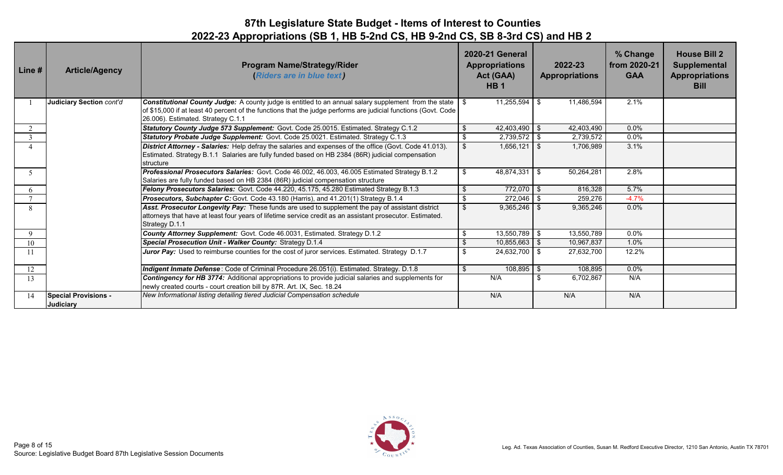| Line # | <b>Article/Agency</b>                           | <b>Program Name/Strategy/Rider</b><br>(Riders are in blue text)                                                                                                                                                                                                             |     | <b>2020-21 General</b><br><b>Appropriations</b><br>Act (GAA)<br>HB <sub>1</sub> | 2022-23<br><b>Appropriations</b> | % Change<br>from 2020-21<br><b>GAA</b> | <b>House Bill 2</b><br><b>Supplemental</b><br><b>Appropriations</b><br><b>Bill</b> |
|--------|-------------------------------------------------|-----------------------------------------------------------------------------------------------------------------------------------------------------------------------------------------------------------------------------------------------------------------------------|-----|---------------------------------------------------------------------------------|----------------------------------|----------------------------------------|------------------------------------------------------------------------------------|
|        | Judiciary Section cont'd                        | <b>Constitutional County Judge:</b> A county judge is entitled to an annual salary supplement from the state \ \ \$<br>of \$15,000 if at least 40 percent of the functions that the judge performs are judicial functions (Govt. Code<br>26.006). Estimated. Strategy C.1.1 |     | $11,255,594$ \$                                                                 | 11,486,594                       | 2.1%                                   |                                                                                    |
|        |                                                 | Statutory County Judge 573 Supplement: Govt. Code 25.0015. Estimated. Strategy C.1.2                                                                                                                                                                                        | \$  | 42,403,490 \$                                                                   | 42,403,490                       | $0.0\%$                                |                                                                                    |
| 3      |                                                 | Statutory Probate Judge Supplement: Govt. Code 25.0021. Estimated. Strategy C.1.3                                                                                                                                                                                           | \$  | $2,739,572$ \$                                                                  | 2,739,572                        | $0.0\%$                                |                                                                                    |
|        |                                                 | District Attorney - Salaries: Help defray the salaries and expenses of the office (Govt. Code 41.013).<br>Estimated. Strategy B.1.1 Salaries are fully funded based on HB 2384 (86R) judicial compensation<br>structure                                                     | \$  | $1.656.121$ \ \$                                                                | 1,706,989                        | 3.1%                                   |                                                                                    |
| 5.     |                                                 | Professional Prosecutors Salaries: Govt. Code 46.002, 46.003, 46.005 Estimated Strategy B.1.2<br>Salaries are fully funded based on HB 2384 (86R) judicial compensation structure                                                                                           | \$  | 48,874,331                                                                      | 50,264,281<br>- \$               | 2.8%                                   |                                                                                    |
| 6      |                                                 | Felony Prosecutors Salaries: Govt. Code 44.220, 45.175, 45.280 Estimated Strategy B.1.3                                                                                                                                                                                     | \$  | $772,070$ \$                                                                    | 816,328                          | 5.7%                                   |                                                                                    |
|        |                                                 | Prosecutors, Subchapter C: Govt. Code 43.180 (Harris), and 41.201(1) Strategy B.1.4                                                                                                                                                                                         | \$  | $272,046$ \$                                                                    | 259,276                          | $-4.7%$                                |                                                                                    |
|        |                                                 | Asst. Prosecutor Longevity Pay: These funds are used to supplement the pay of assistant district<br>attorneys that have at least four years of lifetime service credit as an assistant prosecutor. Estimated.<br>Strategy D.1.1                                             | \$  | $9,365,246$ \$                                                                  | 9,365,246                        | $0.0\%$                                |                                                                                    |
| 9      |                                                 | County Attorney Supplement: Govt. Code 46.0031, Estimated. Strategy D.1.2                                                                                                                                                                                                   |     | $13,550,789$ \$                                                                 | 13,550,789                       | $0.0\%$                                |                                                                                    |
| 10     |                                                 | Special Prosecution Unit - Walker County: Strategy D.1.4                                                                                                                                                                                                                    | \$  | $10,855,663$ \$                                                                 | 10,967,837                       | 1.0%                                   |                                                                                    |
| 11     |                                                 | <b>Juror Pay:</b> Used to reimburse counties for the cost of juror services. Estimated. Strategy D.1.7                                                                                                                                                                      | \$  | 24,632,700 \$                                                                   | 27,632,700                       | 12.2%                                  |                                                                                    |
| 12     |                                                 | Indigent Inmate Defense: Code of Criminal Procedure 26.051(i). Estimated. Strategy. D.1.8                                                                                                                                                                                   | \$. | $108,895$ \$                                                                    | 108.895                          | $0.0\%$                                |                                                                                    |
| 13     |                                                 | Contingency for HB 3774: Additional appropriations to provide judicial salaries and supplements for<br>newly created courts - court creation bill by 87R. Art. IX, Sec. 18.24                                                                                               |     | N/A                                                                             | 6,702,867<br>\$                  | N/A                                    |                                                                                    |
| 14     | <b>Special Provisions -</b><br><b>Judiciary</b> | New Informational listing detailing tiered Judicial Compensation schedule                                                                                                                                                                                                   |     | N/A                                                                             | N/A                              | N/A                                    |                                                                                    |

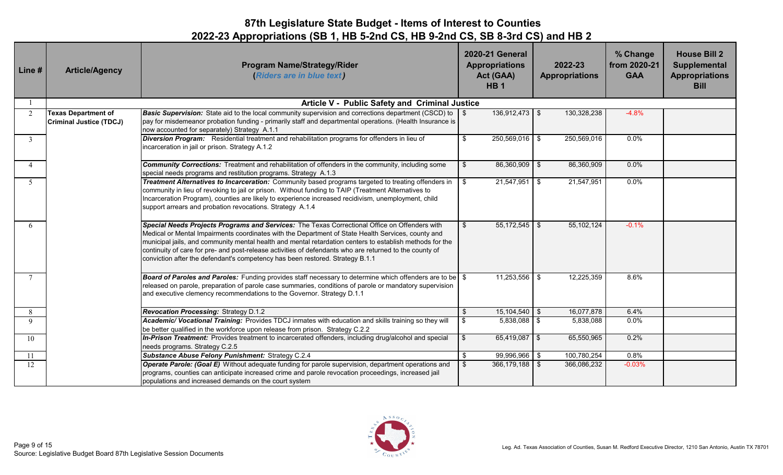| Line #         | <b>Article/Agency</b>                                        | <b>Program Name/Strategy/Rider</b><br>(Riders are in blue text)                                                                                                                                                                                                                                                                                                                                                                                                                                             | <b>2020-21 General</b><br><b>Appropriations</b><br>Act (GAA)<br>HB <sub>1</sub> | 2022-23<br><b>Appropriations</b> | % Change<br>from 2020-21<br><b>GAA</b> | <b>House Bill 2</b><br>Supplemental<br><b>Appropriations</b><br><b>Bill</b> |
|----------------|--------------------------------------------------------------|-------------------------------------------------------------------------------------------------------------------------------------------------------------------------------------------------------------------------------------------------------------------------------------------------------------------------------------------------------------------------------------------------------------------------------------------------------------------------------------------------------------|---------------------------------------------------------------------------------|----------------------------------|----------------------------------------|-----------------------------------------------------------------------------|
|                |                                                              | Article V - Public Safety and Criminal Justice                                                                                                                                                                                                                                                                                                                                                                                                                                                              |                                                                                 |                                  |                                        |                                                                             |
| 2              | <b>Texas Department of</b><br><b>Criminal Justice (TDCJ)</b> | <b>Basic Supervision:</b> State aid to the local community supervision and corrections department (CSCD) to \\$<br>pay for misdemeanor probation funding - primarily staff and departmental operations. (Health Insurance is<br>now accounted for separately) Strategy A.1.1                                                                                                                                                                                                                                | $136,912,473$ \$                                                                | 130,328,238                      | $-4.8%$                                |                                                                             |
| 3              |                                                              | Diversion Program: Residential treatment and rehabilitation programs for offenders in lieu of<br>incarceration in jail or prison. Strategy A.1.2                                                                                                                                                                                                                                                                                                                                                            | \$<br>$250,569,016$ \$                                                          | 250,569,016                      | 0.0%                                   |                                                                             |
| $\overline{4}$ |                                                              | <b>Community Corrections:</b> Treatment and rehabilitation of offenders in the community, including some<br>special needs programs and restitution programs. Strategy A.1.3                                                                                                                                                                                                                                                                                                                                 | 86,360,909 \$<br>\$                                                             | 86,360,909                       | 0.0%                                   |                                                                             |
| 5              |                                                              | Treatment Alternatives to Incarceration: Community based programs targeted to treating offenders in<br>community in lieu of revoking to jail or prison. Without funding to TAIP (Treatment Alternatives to<br>Incarceration Program), counties are likely to experience increased recidivism, unemployment, child<br>support arrears and probation revocations. Strategy A.1.4                                                                                                                              | 21,547,951<br>\$                                                                | 21,547,951<br>l \$               | 0.0%                                   |                                                                             |
| 6              |                                                              | Special Needs Projects Programs and Services: The Texas Correctional Office on Offenders with<br>Medical or Mental Impairments coordinates with the Department of State Health Services, county and<br>municipal jails, and community mental health and mental retardation centers to establish methods for the<br>continuity of care for pre- and post-release activities of defendants who are returned to the county of<br>conviction after the defendant's competency has been restored. Strategy B.1.1 | $55,172,545$ \$<br>\$                                                           | 55, 102, 124                     | $-0.1%$                                |                                                                             |
| $\overline{7}$ |                                                              | <b>Board of Paroles and Paroles:</b> Funding provides staff necessary to determine which offenders are to be \ \$<br>released on parole, preparation of parole case summaries, conditions of parole or mandatory supervision<br>and executive clemency recommendations to the Governor. Strategy D.1.1                                                                                                                                                                                                      | $11,253,556$ \$                                                                 | 12,225,359                       | 8.6%                                   |                                                                             |
| 8              |                                                              | <b>Revocation Processing: Strategy D.1.2</b>                                                                                                                                                                                                                                                                                                                                                                                                                                                                | $15,104,540$ \$<br>\$                                                           | 16,077,878                       | 6.4%                                   |                                                                             |
| 9              |                                                              | Academic/ Vocational Training: Provides TDCJ inmates with education and skills training so they will<br>be better qualified in the workforce upon release from prison. Strategy C.2.2                                                                                                                                                                                                                                                                                                                       | \$<br>$5,838,088$ \$                                                            | 5,838,088                        | 0.0%                                   |                                                                             |
| 10             |                                                              | In-Prison Treatment: Provides treatment to incarcerated offenders, including drug/alcohol and special<br>needs programs. Strategy C.2.5                                                                                                                                                                                                                                                                                                                                                                     | $\mathfrak s$<br>$65,419,087$ \$                                                | 65,550,965                       | 0.2%                                   |                                                                             |
| 11             |                                                              | Substance Abuse Felony Punishment: Strategy C.2.4                                                                                                                                                                                                                                                                                                                                                                                                                                                           | 99,996,966 \$<br>\$                                                             | 100,780,254                      | 0.8%                                   |                                                                             |
| 12             |                                                              | Operate Parole: (Goal E) Without adequate funding for parole supervision, department operations and<br>programs, counties can anticipate increased crime and parole revocation proceedings, increased jail<br>populations and increased demands on the court system                                                                                                                                                                                                                                         | 366,179,188 \$<br>\$                                                            | 366,086,232                      | $-0.03%$                               |                                                                             |

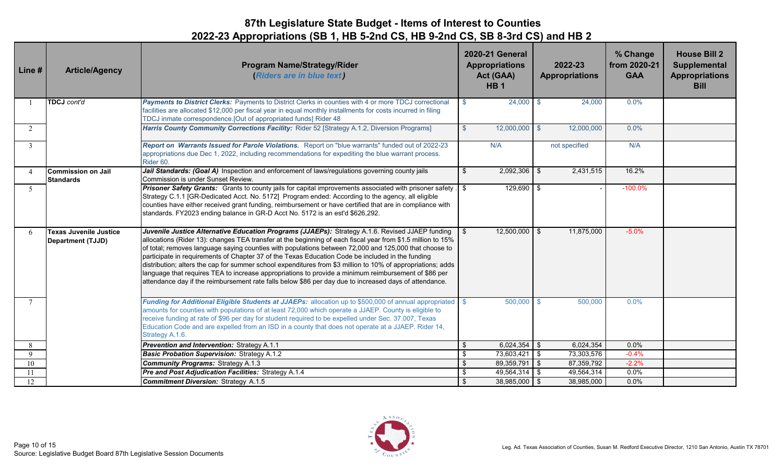| Line#          | <b>Article/Agency</b>                              | <b>Program Name/Strategy/Rider</b><br>(Riders are in blue text)                                                                                                                                                                                                                                                                                                                                                                                                                                                                                                                                                                                                                                                                                                   | <b>2020-21 General</b><br><b>Appropriations</b><br>Act (GAA)<br><b>HB1</b> | 2022-23<br><b>Appropriations</b> | % Change<br>from 2020-21<br><b>GAA</b> | <b>House Bill 2</b><br>Supplemental<br><b>Appropriations</b><br><b>Bill</b> |
|----------------|----------------------------------------------------|-------------------------------------------------------------------------------------------------------------------------------------------------------------------------------------------------------------------------------------------------------------------------------------------------------------------------------------------------------------------------------------------------------------------------------------------------------------------------------------------------------------------------------------------------------------------------------------------------------------------------------------------------------------------------------------------------------------------------------------------------------------------|----------------------------------------------------------------------------|----------------------------------|----------------------------------------|-----------------------------------------------------------------------------|
|                | TDCJ cont'd                                        | Payments to District Clerks: Payments to District Clerks in counties with 4 or more TDCJ correctional<br>facilities are allocated \$12,000 per fiscal year in equal monthly installments for costs incurred in filing<br>TDCJ inmate correspondence. [Out of appropriated funds] Rider 48                                                                                                                                                                                                                                                                                                                                                                                                                                                                         | $24,000$ \$<br>$\mathbf{\hat{s}}$                                          | 24,000                           | 0.0%                                   |                                                                             |
| 2              |                                                    | Harris County Community Corrections Facility: Rider 52 [Strategy A.1.2, Diversion Programs]                                                                                                                                                                                                                                                                                                                                                                                                                                                                                                                                                                                                                                                                       | $12,000,000$ \$<br>\$                                                      | 12,000,000                       | 0.0%                                   |                                                                             |
| 3              |                                                    | Report on Warrants Issued for Parole Violations. Report on "blue warrants" funded out of 2022-23<br>appropriations due Dec 1, 2022, including recommendations for expediting the blue warrant process.<br>Rider 60.                                                                                                                                                                                                                                                                                                                                                                                                                                                                                                                                               | N/A                                                                        | not specified                    | N/A                                    |                                                                             |
| $\overline{A}$ | Commission on Jail<br><b>Standards</b>             | Jail Standards: (Goal A) Inspection and enforcement of laws/regulations governing county jails<br>Commission is under Sunset Review.                                                                                                                                                                                                                                                                                                                                                                                                                                                                                                                                                                                                                              | $2,092,306$ \$<br>\$                                                       | 2,431,515                        | 16.2%                                  |                                                                             |
| $\sqrt{2}$     |                                                    | <b>Prisoner Safety Grants:</b> Grants to county jails for capital improvements associated with prisoner safety.<br>Strategy C.1.1 [GR-Dedicated Acct. No. 5172] Program ended: According to the agency, all eligible<br>counties have either received grant funding, reimbursement or have certified that are in compliance with<br>standards. FY2023 ending balance in GR-D Acct No. 5172 is an est'd \$626,292.                                                                                                                                                                                                                                                                                                                                                 | $129,690$ \$                                                               |                                  | $-100.0%$                              |                                                                             |
| 6              | Texas Juvenile Justice<br><b>Department (TJJD)</b> | Juvenile Justice Alternative Education Programs (JJAEPs): Strategy A.1.6. Revised JJAEP funding \ \$<br>allocations (Rider 13): changes TEA transfer at the beginning of each fiscal year from \$1.5 million to 15%<br>of total; removes language saying counties with populations between 72,000 and 125,000 that choose to<br>participate in requirements of Chapter 37 of the Texas Education Code be included in the funding<br>distribution; alters the cap for summer school expenditures from \$3 million to 10% of appropriations; adds<br>language that requires TEA to increase appropriations to provide a minimum reimbursement of \$86 per<br>attendance day if the reimbursement rate falls below \$86 per day due to increased days of attendance. | $12,500,000$ \$                                                            | 11,875,000                       | $-5.0%$                                |                                                                             |
| $\overline{7}$ |                                                    | Funding for Additional Eligible Students at JJAEPs: allocation up to \$500,000 of annual appropriated<br>amounts for counties with populations of at least 72,000 which operate a JJAEP. County is eligible to<br>receive funding at rate of \$96 per day for student required to be expelled under Sec. 37.007, Texas<br>Education Code and are expelled from an ISD in a county that does not operate at a JJAEP. Rider 14,<br>Strategy A.1.6.                                                                                                                                                                                                                                                                                                                  | 500,000                                                                    | 500,000                          | 0.0%                                   |                                                                             |
| 8              |                                                    | Prevention and Intervention: Strategy A.1.1                                                                                                                                                                                                                                                                                                                                                                                                                                                                                                                                                                                                                                                                                                                       | $6,024,354$ \$<br>\$                                                       | 6,024,354                        | 0.0%                                   |                                                                             |
| 9              |                                                    | <b>Basic Probation Supervision: Strategy A.1.2</b>                                                                                                                                                                                                                                                                                                                                                                                                                                                                                                                                                                                                                                                                                                                | $\boldsymbol{\hat{\theta}}$<br>73,603,421                                  | 73,303,576<br>l \$               | $-0.4%$                                |                                                                             |
| 10             |                                                    | <b>Community Programs: Strategy A.1.3</b>                                                                                                                                                                                                                                                                                                                                                                                                                                                                                                                                                                                                                                                                                                                         | $\sqrt[6]{\frac{1}{2}}$<br>89,359,791                                      | l \$<br>87,359,792               | $-2.2%$                                |                                                                             |
| 11             |                                                    | Pre and Post Adjudication Facilities: Strategy A.1.4                                                                                                                                                                                                                                                                                                                                                                                                                                                                                                                                                                                                                                                                                                              | $\boldsymbol{\hat{\theta}}$<br>49,564,314 \$                               | 49,564,314                       | $0.0\%$                                |                                                                             |
| 12             |                                                    | <b>Commitment Diversion: Strategy A.1.5</b>                                                                                                                                                                                                                                                                                                                                                                                                                                                                                                                                                                                                                                                                                                                       | $\frac{1}{2}$<br>$38,985,000$ \$                                           | 38,985,000                       | 0.0%                                   |                                                                             |

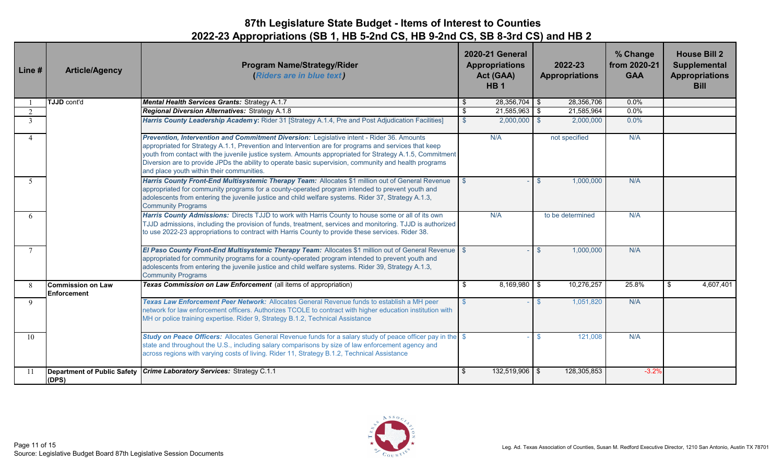| Line#        | <b>Article/Agency</b>                   | <b>Program Name/Strategy/Rider</b><br>(Riders are in blue text)                                                                                                                                                                                                                                                                                                                                                                                                     |               | 2020-21 General<br><b>Appropriations</b><br>Act (GAA)<br>HB <sub>1</sub> | 2022-23<br><b>Appropriations</b> | % Change<br>from 2020-21<br><b>GAA</b> | <b>House Bill 2</b><br>Supplemental<br><b>Appropriations</b><br><b>Bill</b> |
|--------------|-----------------------------------------|---------------------------------------------------------------------------------------------------------------------------------------------------------------------------------------------------------------------------------------------------------------------------------------------------------------------------------------------------------------------------------------------------------------------------------------------------------------------|---------------|--------------------------------------------------------------------------|----------------------------------|----------------------------------------|-----------------------------------------------------------------------------|
|              | <b>TJJD</b> cont'd                      | Mental Health Services Grants: Strategy A.1.7                                                                                                                                                                                                                                                                                                                                                                                                                       | -\$           | $28,356,704$ \$                                                          | 28,356,706                       | 0.0%                                   |                                                                             |
| 2            |                                         | <b>Regional Diversion Alternatives: Strategy A.1.8</b>                                                                                                                                                                                                                                                                                                                                                                                                              | \$            | $21,585,963$ \$                                                          | 21,585,964                       | 0.0%                                   |                                                                             |
| $\mathbf{3}$ |                                         | Harris County Leadership Academy: Rider 31 [Strategy A.1.4, Pre and Post Adjudication Facilities]                                                                                                                                                                                                                                                                                                                                                                   | $\mathcal{S}$ | $2,000,000$ \$                                                           | 2,000,000                        | 0.0%                                   |                                                                             |
| 4            |                                         | Prevention, Intervention and Commitment Diversion: Legislative intent - Rider 36. Amounts<br>appropriated for Strategy A.1.1, Prevention and Intervention are for programs and services that keep<br>youth from contact with the juvenile justice system. Amounts appropriated for Strategy A.1.5, Commitment<br>Diversion are to provide JPDs the ability to operate basic supervision, community and health programs<br>and place youth within their communities. |               | N/A                                                                      | not specified                    | N/A                                    |                                                                             |
| 5            |                                         | Harris County Front-End Multisystemic Therapy Team: Allocates \$1 million out of General Revenue<br>appropriated for community programs for a county-operated program intended to prevent youth and<br>adolescents from entering the juvenile justice and child welfare systems. Rider 37, Strategy A.1.3,<br><b>Community Programs</b>                                                                                                                             |               |                                                                          | 1,000,000<br>ß.                  | N/A                                    |                                                                             |
| 6            |                                         | Harris County Admissions: Directs TJJD to work with Harris County to house some or all of its own<br>TJJD admissions, including the provision of funds, treatment, services and monitoring. TJJD is authorized<br>to use 2022-23 appropriations to contract with Harris County to provide these services. Rider 38.                                                                                                                                                 |               | N/A                                                                      | to be determined                 | N/A                                    |                                                                             |
| $\tau$       |                                         | El Paso County Front-End Multisystemic Therapy Team: Allocates \$1 million out of General Revenue<br>appropriated for community programs for a county-operated program intended to prevent youth and<br>adolescents from entering the juvenile justice and child welfare systems. Rider 39, Strategy A.1.3,<br><b>Community Programs</b>                                                                                                                            |               |                                                                          | 1,000,000<br>$\mathcal{R}$       | N/A                                    |                                                                             |
| 8            | Commission on Law<br><b>Enforcement</b> | Texas Commission on Law Enforcement (all items of appropriation)                                                                                                                                                                                                                                                                                                                                                                                                    | \$            | $8,169,980$ \$                                                           | 10,276,257                       | 25.8%                                  | 4,607,401<br>\$                                                             |
| 9            |                                         | Texas Law Enforcement Peer Network: Allocates General Revenue funds to establish a MH peer<br>network for law enforcement officers. Authorizes TCOLE to contract with higher education institution with<br>MH or police training expertise. Rider 9, Strategy B.1.2, Technical Assistance                                                                                                                                                                           | $\mathcal{S}$ |                                                                          | 1,051,820<br>$\mathfrak{L}$      | N/A                                    |                                                                             |
| 10           |                                         | Study on Peace Officers: Allocates General Revenue funds for a salary study of peace officer pay in the \$<br>state and throughout the U.S., including salary comparisons by size of law enforcement agency and<br>across regions with varying costs of living. Rider 11, Strategy B.1.2, Technical Assistance                                                                                                                                                      |               |                                                                          | 121,008<br>-96                   | N/A                                    |                                                                             |
| 11           | (DPS)                                   | Department of Public Safety Crime Laboratory Services: Strategy C.1.1                                                                                                                                                                                                                                                                                                                                                                                               | \$            | 132,519,906 \$                                                           | 128,305,853                      | $-3.2%$                                |                                                                             |

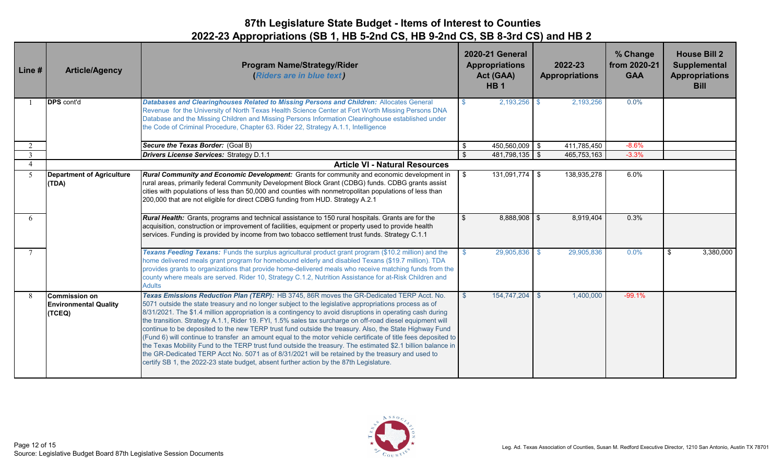| Line#                    | <b>Article/Agency</b>                                          | <b>Program Name/Strategy/Rider</b><br>(Riders are in blue text)                                                                                                                                                                                                                                                                                                                                                                                                                                                                                                                                                                                                                                                                                                                                                                                                                                                                                                       |                             | <b>2020-21 General</b><br><b>Appropriations</b><br>Act (GAA)<br><b>HB1</b> | 2022-23<br><b>Appropriations</b> | % Change<br>from 2020-21<br><b>GAA</b> | <b>House Bill 2</b><br><b>Supplemental</b><br><b>Appropriations</b><br><b>Bill</b> |
|--------------------------|----------------------------------------------------------------|-----------------------------------------------------------------------------------------------------------------------------------------------------------------------------------------------------------------------------------------------------------------------------------------------------------------------------------------------------------------------------------------------------------------------------------------------------------------------------------------------------------------------------------------------------------------------------------------------------------------------------------------------------------------------------------------------------------------------------------------------------------------------------------------------------------------------------------------------------------------------------------------------------------------------------------------------------------------------|-----------------------------|----------------------------------------------------------------------------|----------------------------------|----------------------------------------|------------------------------------------------------------------------------------|
|                          | <b>DPS</b> cont'd                                              | Databases and Clearinghouses Related to Missing Persons and Children: Allocates General<br>Revenue for the University of North Texas Health Science Center at Fort Worth Missing Persons DNA<br>Database and the Missing Children and Missing Persons Information Clearinghouse established under<br>the Code of Criminal Procedure, Chapter 63. Rider 22, Strategy A.1.1, Intelligence                                                                                                                                                                                                                                                                                                                                                                                                                                                                                                                                                                               |                             | $2,193,256$ \$                                                             | 2,193,256                        | 0.0%                                   |                                                                                    |
| 2                        |                                                                | Secure the Texas Border: (Goal B)                                                                                                                                                                                                                                                                                                                                                                                                                                                                                                                                                                                                                                                                                                                                                                                                                                                                                                                                     | $\boldsymbol{\hat{\theta}}$ | 450,560,009 \$                                                             | 411,785,450                      | $-8.6%$                                |                                                                                    |
| $\overline{3}$           |                                                                | <b>Drivers License Services: Strategy D.1.1</b>                                                                                                                                                                                                                                                                                                                                                                                                                                                                                                                                                                                                                                                                                                                                                                                                                                                                                                                       | $\mathfrak{S}$              | 481,798,135 \$                                                             | 465,753,163                      | $-3.3%$                                |                                                                                    |
| $\overline{\mathcal{A}}$ |                                                                | <b>Article VI - Natural Resources</b>                                                                                                                                                                                                                                                                                                                                                                                                                                                                                                                                                                                                                                                                                                                                                                                                                                                                                                                                 |                             |                                                                            |                                  |                                        |                                                                                    |
| -5                       | <b>Department of Agriculture</b><br>(TDA)                      | <b>Rural Community and Economic Development:</b> Grants for community and economic development in<br>rural areas, primarily federal Community Development Block Grant (CDBG) funds. CDBG grants assist<br>cities with populations of less than 50,000 and counties with nonmetropolitan populations of less than<br>200,000 that are not eligible for direct CDBG funding from HUD. Strategy A.2.1                                                                                                                                                                                                                                                                                                                                                                                                                                                                                                                                                                    | -\$                         | $131,091,774$ \$                                                           | 138,935,278                      | 6.0%                                   |                                                                                    |
| 6                        |                                                                | Rural Health: Grants, programs and technical assistance to 150 rural hospitals. Grants are for the<br>acquisition, construction or improvement of facilities, equipment or property used to provide health<br>services. Funding is provided by income from two tobacco settlement trust funds. Strategy C.1.1                                                                                                                                                                                                                                                                                                                                                                                                                                                                                                                                                                                                                                                         | $\mathfrak{S}$              | $8,888,908$ \$                                                             | 8,919,404                        | 0.3%                                   |                                                                                    |
| $\tau$                   |                                                                | Texans Feeding Texans: Funds the surplus agricultural product grant program (\$10.2 million) and the<br>home delivered meals grant program for homebound elderly and disabled Texans (\$19.7 million). TDA<br>provides grants to organizations that provide home-delivered meals who receive matching funds from the<br>county where meals are served. Rider 10, Strategy C.1.2, Nutrition Assistance for at-Risk Children and<br><b>Adults</b>                                                                                                                                                                                                                                                                                                                                                                                                                                                                                                                       |                             | 29,905,836 \$                                                              | 29,905,836                       | $0.0\%$                                | 3,380,000<br>\$                                                                    |
| -8                       | <b>Commission on</b><br><b>Environmental Quality</b><br>(TCEQ) | Texas Emissions Reduction Plan (TERP): HB 3745, 86R moves the GR-Dedicated TERP Acct. No.<br>5071 outside the state treasury and no longer subject to the legislative appropriations process as of<br>8/31/2021. The \$1.4 million appropriation is a contingency to avoid disruptions in operating cash during<br>the transition. Strategy A.1.1, Rider 19. FYI, 1.5% sales tax surcharge on off-road diesel equipment will<br>continue to be deposited to the new TERP trust fund outside the treasury. Also, the State Highway Fund<br>(Fund 6) will continue to transfer an amount equal to the motor vehicle certificate of title fees deposited to<br>the Texas Mobility Fund to the TERP trust fund outside the treasury. The estimated \$2.1 billion balance in<br>the GR-Dedicated TERP Acct No. 5071 as of 8/31/2021 will be retained by the treasury and used to<br>certify SB 1, the 2022-23 state budget, absent further action by the 87th Legislature. | -96                         | 154,747,204 \$                                                             | 1,400,000                        | $-99.1%$                               |                                                                                    |

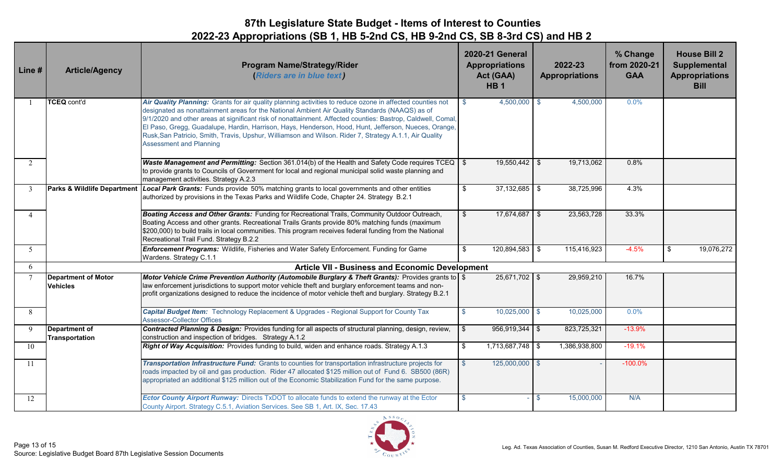| Line #         | <b>Article/Agency</b>                                  | <b>Program Name/Strategy/Rider</b><br>(Riders are in blue text)                                                                                                                                                                                                                                                                                                                                                                                                                                                                                                                |               | <b>2020-21 General</b><br><b>Appropriations</b><br>Act (GAA)<br>HB <sub>1</sub> | 2022-23<br><b>Appropriations</b> | % Change<br>from 2020-21<br><b>GAA</b> | <b>House Bill 2</b><br><b>Supplemental</b><br><b>Appropriations</b><br><b>Bill</b> |
|----------------|--------------------------------------------------------|--------------------------------------------------------------------------------------------------------------------------------------------------------------------------------------------------------------------------------------------------------------------------------------------------------------------------------------------------------------------------------------------------------------------------------------------------------------------------------------------------------------------------------------------------------------------------------|---------------|---------------------------------------------------------------------------------|----------------------------------|----------------------------------------|------------------------------------------------------------------------------------|
|                | <b>TCEQ cont'd</b>                                     | Air Quality Planning: Grants for air quality planning activities to reduce ozone in affected counties not<br>designated as nonattainment areas for the National Ambient Air Quality Standards (NAAQS) as of<br>9/1/2020 and other areas at significant risk of nonattainment. Affected counties: Bastrop, Caldwell, Comal,<br>El Paso, Gregg, Guadalupe, Hardin, Harrison, Hays, Henderson, Hood, Hunt, Jefferson, Nueces, Orange,<br>Rusk, San Patricio, Smith, Travis, Upshur, Williamson and Wilson. Rider 7, Strategy A.1.1, Air Quality<br><b>Assessment and Planning</b> | $\mathbb{S}$  | $4,500,000$ \$                                                                  | 4,500,000                        | 0.0%                                   |                                                                                    |
| 2              |                                                        | <b>Waste Management and Permitting:</b> Section 361.014(b) of the Health and Safety Code requires $TCEQ$ \ $$$<br>to provide grants to Councils of Government for local and regional municipal solid waste planning and<br>management activities. Strategy A.2.3                                                                                                                                                                                                                                                                                                               |               | $19,550,442$ \$                                                                 | 19,713,062                       | 0.8%                                   |                                                                                    |
| 3              | <b>Parks &amp; Wildlife Department</b>                 | Local Park Grants: Funds provide 50% matching grants to local governments and other entities<br>authorized by provisions in the Texas Parks and Wildlife Code, Chapter 24. Strategy B.2.1                                                                                                                                                                                                                                                                                                                                                                                      | \$            | $37,132,685$ \$                                                                 | 38,725,996                       | 4.3%                                   |                                                                                    |
| $\overline{4}$ |                                                        | Boating Access and Other Grants: Funding for Recreational Trails, Community Outdoor Outreach,<br>Boating Access and other grants. Recreational Trails Grants provide 80% matching funds (maximum<br>\$200,000) to build trails in local communities. This program receives federal funding from the National<br>Recreational Trail Fund. Strategy B.2.2                                                                                                                                                                                                                        | \$            | $17,674,687$ \$                                                                 | 23,563,728                       | 33.3%                                  |                                                                                    |
| 5 <sup>5</sup> |                                                        | Enforcement Programs: Wildlife, Fisheries and Water Safety Enforcement. Funding for Game<br>Wardens. Strategy C.1.1                                                                                                                                                                                                                                                                                                                                                                                                                                                            | \$            | $120,894,583$ \$                                                                | 115,416,923                      | $-4.5%$                                | 19,076,272<br>\$                                                                   |
| 6              | <b>Article VII - Business and Economic Development</b> |                                                                                                                                                                                                                                                                                                                                                                                                                                                                                                                                                                                |               |                                                                                 |                                  |                                        |                                                                                    |
|                | <b>Department of Motor</b><br><b>Vehicles</b>          | Motor Vehicle Crime Prevention Authority (Automobile Burglary & Theft Grants): Provides grants to $\$<br>law enforcement jurisdictions to support motor vehicle theft and burglary enforcement teams and non-<br>profit organizations designed to reduce the incidence of motor vehicle theft and burglary. Strategy B.2.1                                                                                                                                                                                                                                                     |               | $25,671,702$ \$                                                                 | 29,959,210                       | 16.7%                                  |                                                                                    |
| 8              |                                                        | Capital Budget Item: Technology Replacement & Upgrades - Regional Support for County Tax<br><b>Assessor-Collector Offices</b>                                                                                                                                                                                                                                                                                                                                                                                                                                                  | $\mathbf{\$}$ | $10,025,000$ \$                                                                 | 10,025,000                       | 0.0%                                   |                                                                                    |
| 9              | <b>Department of</b><br>Transportation                 | Contracted Planning & Design: Provides funding for all aspects of structural planning, design, review,<br>construction and inspection of bridges. Strategy A.1.2                                                                                                                                                                                                                                                                                                                                                                                                               | \$            | $956,919,344$ \$                                                                | 823,725,321                      | $-13.9%$                               |                                                                                    |
| 10             |                                                        | Right of Way Acquisition: Provides funding to build, widen and enhance roads. Strategy A.1.3                                                                                                                                                                                                                                                                                                                                                                                                                                                                                   | \$            | 1,713,687,748 \$                                                                | 1,386,938,800                    | $-19.1%$                               |                                                                                    |
| 11             |                                                        | Transportation Infrastructure Fund: Grants to counties for transportation infrastructure projects for<br>roads impacted by oil and gas production. Rider 47 allocated \$125 million out of Fund 6. SB500 (86R)<br>appropriated an additional \$125 million out of the Economic Stabilization Fund for the same purpose.                                                                                                                                                                                                                                                        | $\mathbb{S}$  | 125,000,000 \$                                                                  |                                  | $-100.0\%$                             |                                                                                    |
| 12             |                                                        | <b>Ector County Airport Runway:</b> Directs TxDOT to allocate funds to extend the runway at the Ector<br>County Airport. Strategy C.5.1, Aviation Services. See SB 1, Art. IX, Sec. 17.43                                                                                                                                                                                                                                                                                                                                                                                      | -\$           |                                                                                 | 15,000,000<br>-S                 | N/A                                    |                                                                                    |

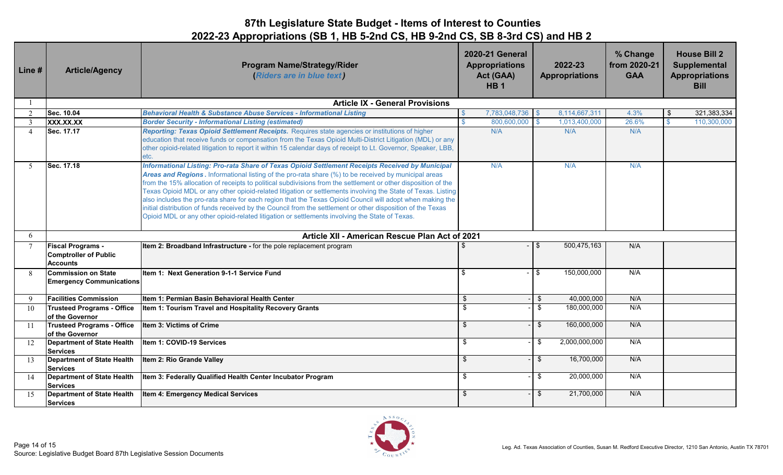| Line #          | <b>Article/Agency</b>                                                       | <b>Program Name/Strategy/Rider</b><br>(Riders are in blue text)                                                                                                                                                                                                                                                                                                                                                                                                                                                                                                                                                                                                                                                                                                        | <b>2020-21 General</b><br><b>Appropriations</b><br>Act (GAA)<br>HB <sub>1</sub> | 2022-23<br><b>Appropriations</b> | % Change<br>from 2020-21<br><b>GAA</b> | <b>House Bill 2</b><br><b>Supplemental</b><br><b>Appropriations</b><br><b>Bill</b> |
|-----------------|-----------------------------------------------------------------------------|------------------------------------------------------------------------------------------------------------------------------------------------------------------------------------------------------------------------------------------------------------------------------------------------------------------------------------------------------------------------------------------------------------------------------------------------------------------------------------------------------------------------------------------------------------------------------------------------------------------------------------------------------------------------------------------------------------------------------------------------------------------------|---------------------------------------------------------------------------------|----------------------------------|----------------------------------------|------------------------------------------------------------------------------------|
|                 |                                                                             | <b>Article IX - General Provisions</b>                                                                                                                                                                                                                                                                                                                                                                                                                                                                                                                                                                                                                                                                                                                                 |                                                                                 |                                  |                                        |                                                                                    |
| $\mathfrak{D}$  | Sec. 10.04                                                                  | <b>Behavioral Health &amp; Substance Abuse Services - Informational Listing</b>                                                                                                                                                                                                                                                                                                                                                                                                                                                                                                                                                                                                                                                                                        | 7,783,048,736<br>$\mathbf{\$}$                                                  | 8,114,667,311                    | 4.3%                                   | 321,383,334                                                                        |
| 3               | XXX.XX.XX                                                                   | <b>Border Security - Informational Listing (estimated)</b>                                                                                                                                                                                                                                                                                                                                                                                                                                                                                                                                                                                                                                                                                                             | $\mathbb{S}$<br>800,600,000                                                     | 1,013,400,000                    | 26.6%                                  | 110,300,000                                                                        |
| $\overline{4}$  | Sec. 17.17                                                                  | Reporting: Texas Opioid Settlement Receipts. Requires state agencies or institutions of higher<br>education that receive funds or compensation from the Texas Opioid Multi-District Litigation (MDL) or any<br>other opioid-related litigation to report it within 15 calendar days of receipt to Lt. Governor, Speaker, LBB,<br>etc.                                                                                                                                                                                                                                                                                                                                                                                                                                  | N/A                                                                             | N/A                              | N/A                                    |                                                                                    |
| -5              | Sec. 17.18                                                                  | Informational Listing: Pro-rata Share of Texas Opioid Settlement Receipts Received by Municipal<br>Areas and Regions. Informational listing of the pro-rata share (%) to be received by municipal areas<br>from the 15% allocation of receipts to political subdivisions from the settlement or other disposition of the<br>Texas Opioid MDL or any other opioid-related litigation or settlements involving the State of Texas. Listing<br>also includes the pro-rata share for each region that the Texas Opioid Council will adopt when making the<br>initial distribution of funds received by the Council from the settlement or other disposition of the Texas<br>Opioid MDL or any other opioid-related litigation or settlements involving the State of Texas. | N/A                                                                             | N/A                              | N/A                                    |                                                                                    |
| 6               |                                                                             | Article XII - American Rescue Plan Act of 2021                                                                                                                                                                                                                                                                                                                                                                                                                                                                                                                                                                                                                                                                                                                         |                                                                                 |                                  |                                        |                                                                                    |
| $7\phantom{.0}$ | <b>Fiscal Programs -</b><br><b>Comptroller of Public</b><br><b>Accounts</b> | Item 2: Broadband Infrastructure - for the pole replacement program                                                                                                                                                                                                                                                                                                                                                                                                                                                                                                                                                                                                                                                                                                    |                                                                                 | 500,475,163<br>\$                | N/A                                    |                                                                                    |
| 8               | <b>Commission on State</b><br><b>Emergency Communications</b>               | Item 1: Next Generation 9-1-1 Service Fund                                                                                                                                                                                                                                                                                                                                                                                                                                                                                                                                                                                                                                                                                                                             | \$                                                                              | 150,000,000<br>\$                | N/A                                    |                                                                                    |
| $\mathbf{Q}$    | <b>Facilities Commission</b>                                                | Item 1: Permian Basin Behavioral Health Center                                                                                                                                                                                                                                                                                                                                                                                                                                                                                                                                                                                                                                                                                                                         | $\boldsymbol{\theta}$                                                           | 40,000,000<br>$\bullet$          | N/A                                    |                                                                                    |
| 10              | <b>Trusteed Programs - Office</b><br>of the Governor                        | Item 1: Tourism Travel and Hospitality Recovery Grants                                                                                                                                                                                                                                                                                                                                                                                                                                                                                                                                                                                                                                                                                                                 | $\mathfrak s$                                                                   | \$<br>180,000,000                | N/A                                    |                                                                                    |
| <b>11</b>       | <b>Trusteed Programs - Office</b><br>of the Governor                        | Item 3: Victims of Crime                                                                                                                                                                                                                                                                                                                                                                                                                                                                                                                                                                                                                                                                                                                                               | \$                                                                              | \$<br>160,000,000                | N/A                                    |                                                                                    |
| 12              | <b>Department of State Health</b><br><b>Services</b>                        | Item 1: COVID-19 Services                                                                                                                                                                                                                                                                                                                                                                                                                                                                                                                                                                                                                                                                                                                                              | \$                                                                              | 2,000,000,000<br>\$              | N/A                                    |                                                                                    |
| 13              | <b>Department of State Health</b><br><b>Services</b>                        | Item 2: Rio Grande Valley                                                                                                                                                                                                                                                                                                                                                                                                                                                                                                                                                                                                                                                                                                                                              | $\sqrt[6]{2}$                                                                   | 16,700,000<br>\$                 | N/A                                    |                                                                                    |
| 14              | <b>Department of State Health</b><br><b>Services</b>                        | Item 3: Federally Qualified Health Center Incubator Program                                                                                                                                                                                                                                                                                                                                                                                                                                                                                                                                                                                                                                                                                                            | \$                                                                              | 20,000,000<br>\$                 | N/A                                    |                                                                                    |
| 15              | <b>Department of State Health</b><br><b>Services</b>                        | Item 4: Emergency Medical Services                                                                                                                                                                                                                                                                                                                                                                                                                                                                                                                                                                                                                                                                                                                                     | \$                                                                              | 21,700,000<br>\$                 | N/A                                    |                                                                                    |